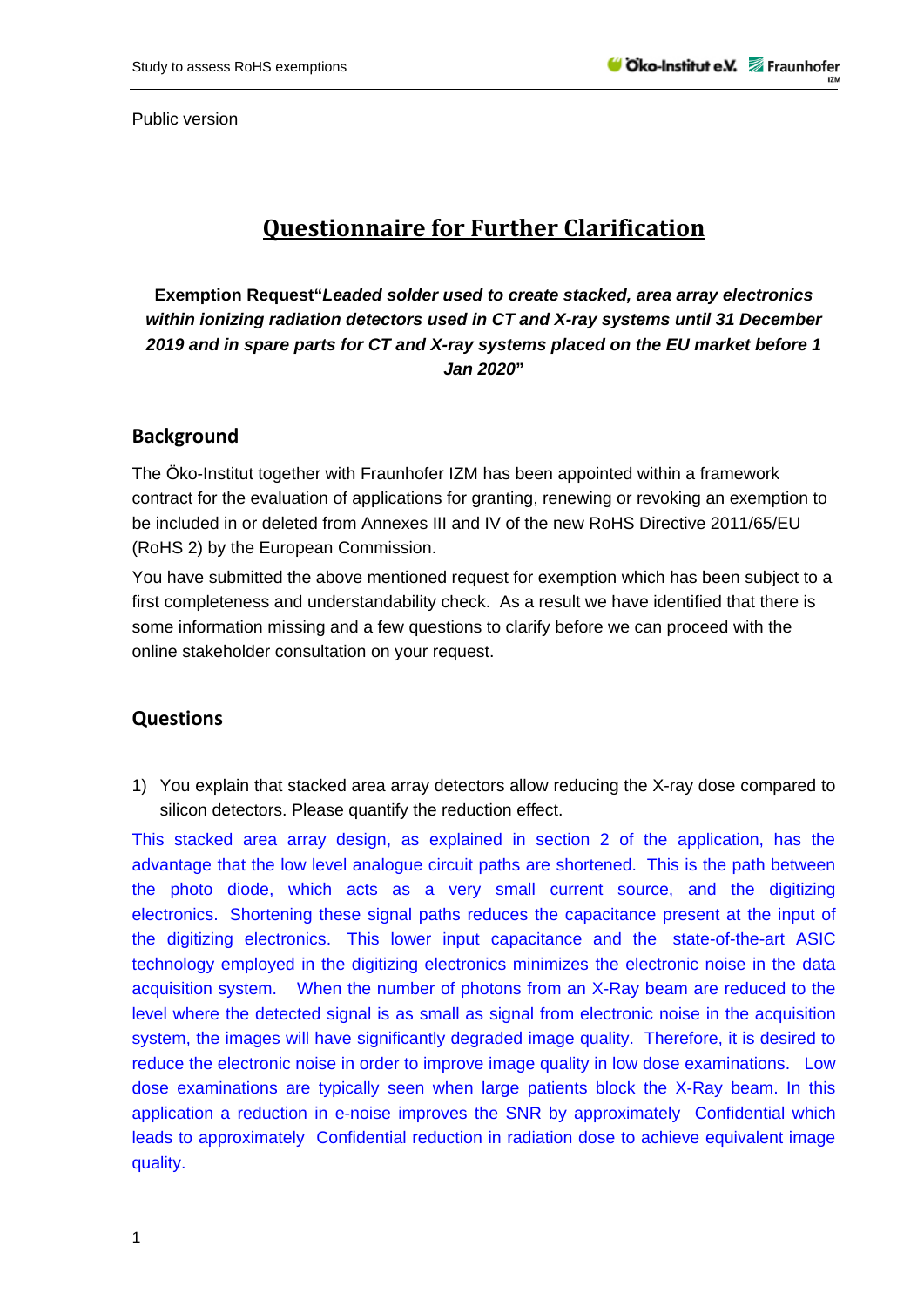Public version

## **Questionnaire for Further Clarification**

**Exemption Request"***Leaded solder used to create stacked, area array electronics within ionizing radiation detectors used in CT and X-ray systems until 31 December 2019 and in spare parts for CT and X-ray systems placed on the EU market before 1 Jan 2020***"** 

### **Background**

The Öko-Institut together with Fraunhofer IZM has been appointed within a framework contract for the evaluation of applications for granting, renewing or revoking an exemption to be included in or deleted from Annexes III and IV of the new RoHS Directive 2011/65/EU (RoHS 2) by the European Commission.

You have submitted the above mentioned request for exemption which has been subject to a first completeness and understandability check. As a result we have identified that there is some information missing and a few questions to clarify before we can proceed with the online stakeholder consultation on your request.

#### **Questions**

1) You explain that stacked area array detectors allow reducing the X-ray dose compared to silicon detectors. Please quantify the reduction effect.

This stacked area array design, as explained in section 2 of the application, has the advantage that the low level analogue circuit paths are shortened. This is the path between the photo diode, which acts as a very small current source, and the digitizing electronics. Shortening these signal paths reduces the capacitance present at the input of the digitizing electronics. This lower input capacitance and the state-of-the-art ASIC technology employed in the digitizing electronics minimizes the electronic noise in the data acquisition system. When the number of photons from an X-Ray beam are reduced to the level where the detected signal is as small as signal from electronic noise in the acquisition system, the images will have significantly degraded image quality. Therefore, it is desired to reduce the electronic noise in order to improve image quality in low dose examinations. Low dose examinations are typically seen when large patients block the X-Ray beam. In this application a reduction in e-noise improves the SNR by approximately Confidential which leads to approximately Confidential reduction in radiation dose to achieve equivalent image quality.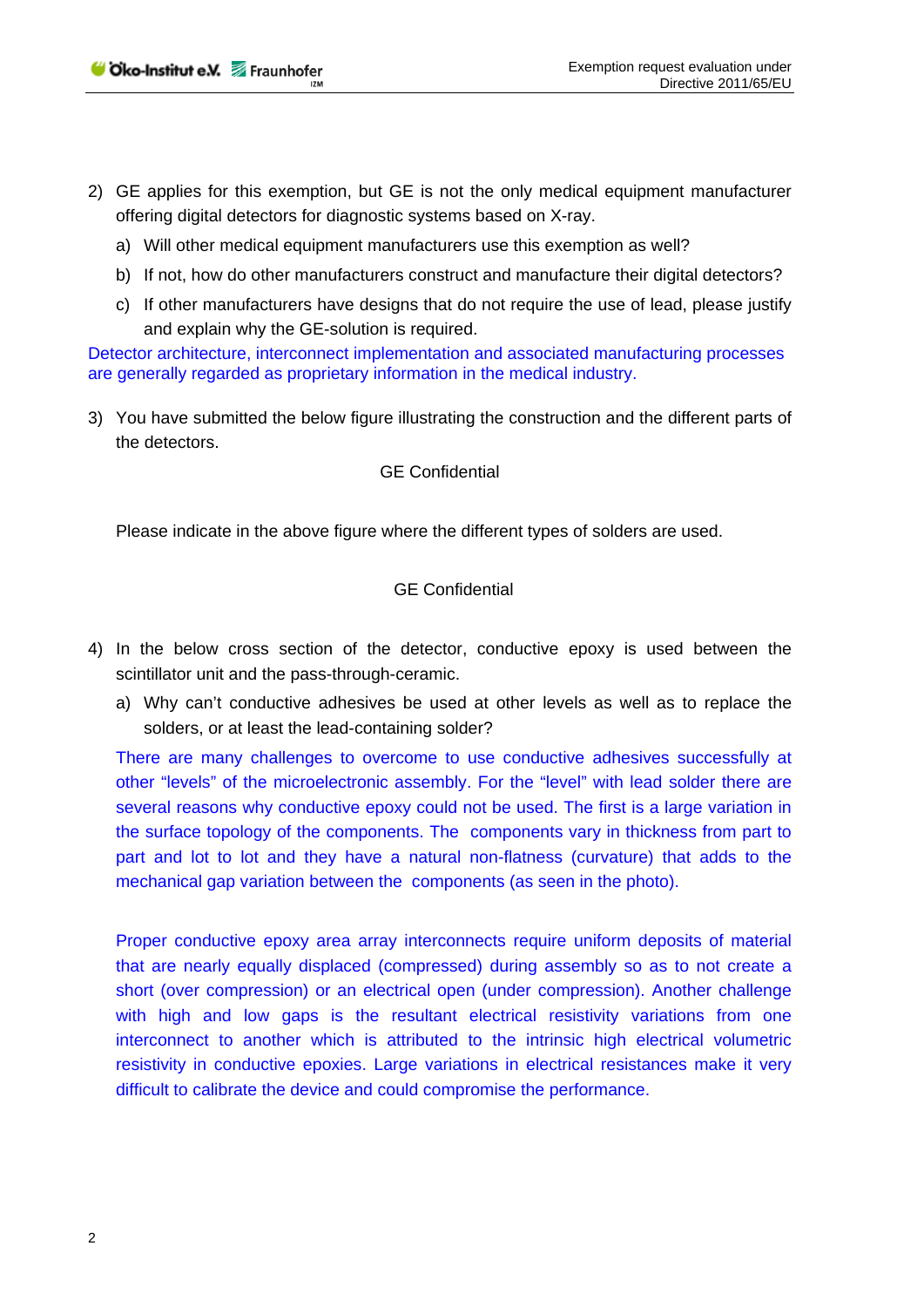- 2) GE applies for this exemption, but GE is not the only medical equipment manufacturer offering digital detectors for diagnostic systems based on X-ray.
	- a) Will other medical equipment manufacturers use this exemption as well?
	- b) If not, how do other manufacturers construct and manufacture their digital detectors?
	- c) If other manufacturers have designs that do not require the use of lead, please justify and explain why the GE-solution is required.

Detector architecture, interconnect implementation and associated manufacturing processes are generally regarded as proprietary information in the medical industry.

3) You have submitted the below figure illustrating the construction and the different parts of the detectors.

### GE Confidential

Please indicate in the above figure where the different types of solders are used.

### GE Confidential

- 4) In the below cross section of the detector, conductive epoxy is used between the scintillator unit and the pass-through-ceramic.
	- a) Why can't conductive adhesives be used at other levels as well as to replace the solders, or at least the lead-containing solder?

There are many challenges to overcome to use conductive adhesives successfully at other "levels" of the microelectronic assembly. For the "level" with lead solder there are several reasons why conductive epoxy could not be used. The first is a large variation in the surface topology of the components. The components vary in thickness from part to part and lot to lot and they have a natural non-flatness (curvature) that adds to the mechanical gap variation between the components (as seen in the photo).

Proper conductive epoxy area array interconnects require uniform deposits of material that are nearly equally displaced (compressed) during assembly so as to not create a short (over compression) or an electrical open (under compression). Another challenge with high and low gaps is the resultant electrical resistivity variations from one interconnect to another which is attributed to the intrinsic high electrical volumetric resistivity in conductive epoxies. Large variations in electrical resistances make it very difficult to calibrate the device and could compromise the performance.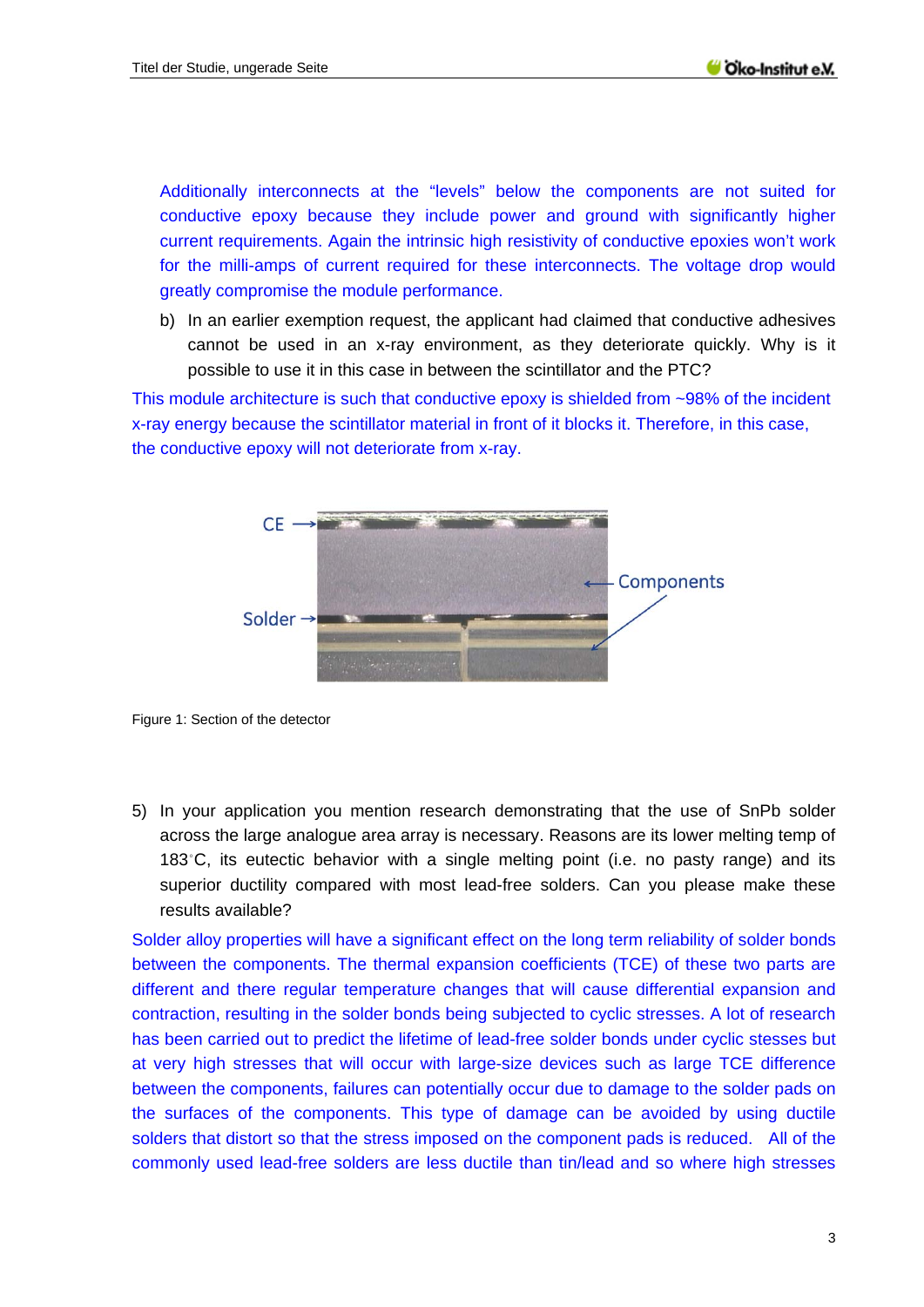Additionally interconnects at the "levels" below the components are not suited for conductive epoxy because they include power and ground with significantly higher current requirements. Again the intrinsic high resistivity of conductive epoxies won't work for the milli-amps of current required for these interconnects. The voltage drop would greatly compromise the module performance.

b) In an earlier exemption request, the applicant had claimed that conductive adhesives cannot be used in an x-ray environment, as they deteriorate quickly. Why is it possible to use it in this case in between the scintillator and the PTC?

This module architecture is such that conductive epoxy is shielded from ~98% of the incident x-ray energy because the scintillator material in front of it blocks it. Therefore, in this case, the conductive epoxy will not deteriorate from x-ray.



Figure 1: Section of the detector

5) In your application you mention research demonstrating that the use of SnPb solder across the large analogue area array is necessary. Reasons are its lower melting temp of 183˚C, its eutectic behavior with a single melting point (i.e. no pasty range) and its superior ductility compared with most lead-free solders. Can you please make these results available?

Solder alloy properties will have a significant effect on the long term reliability of solder bonds between the components. The thermal expansion coefficients (TCE) of these two parts are different and there regular temperature changes that will cause differential expansion and contraction, resulting in the solder bonds being subjected to cyclic stresses. A lot of research has been carried out to predict the lifetime of lead-free solder bonds under cyclic stesses but at very high stresses that will occur with large-size devices such as large TCE difference between the components, failures can potentially occur due to damage to the solder pads on the surfaces of the components. This type of damage can be avoided by using ductile solders that distort so that the stress imposed on the component pads is reduced. All of the commonly used lead-free solders are less ductile than tin/lead and so where high stresses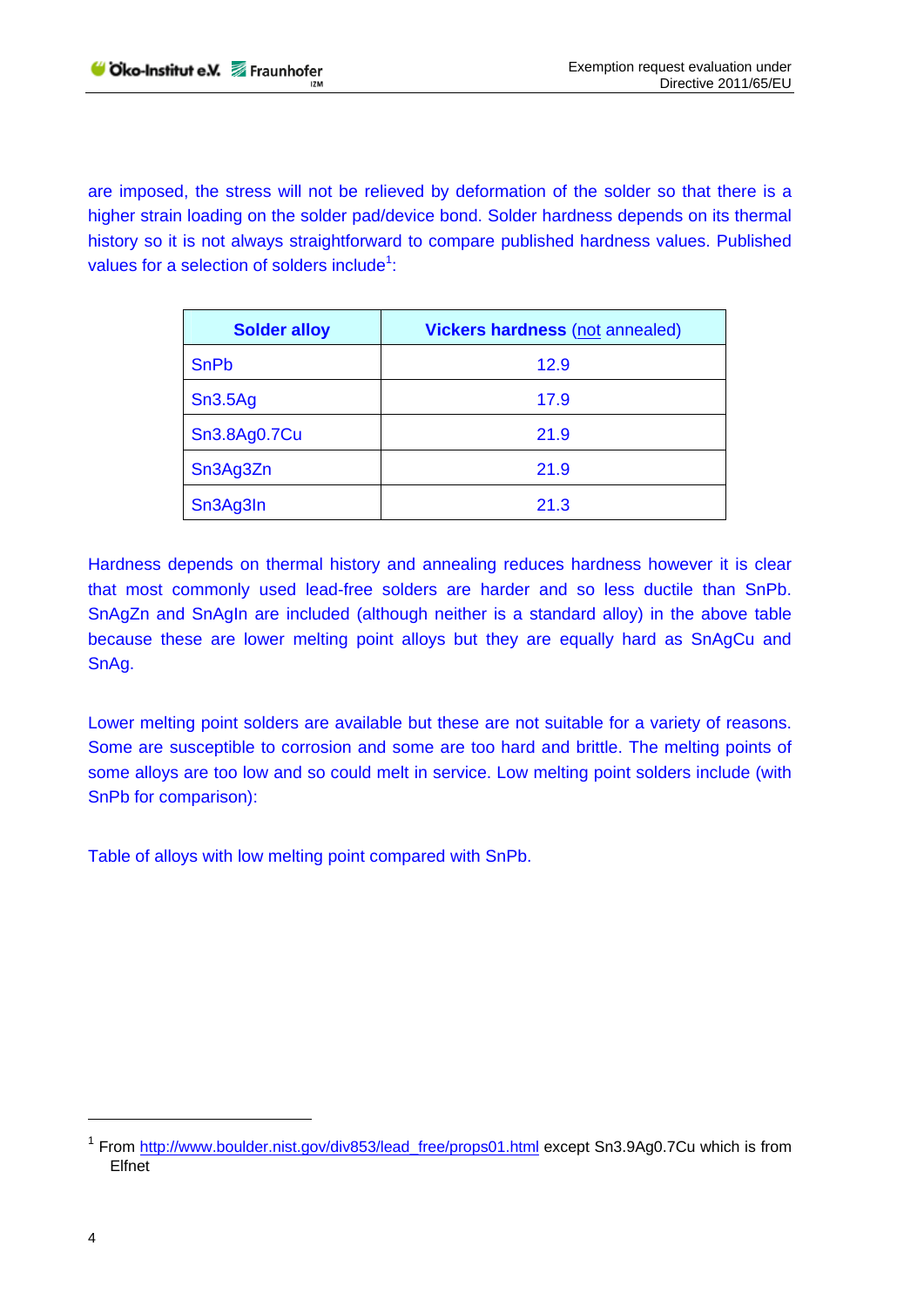are imposed, the stress will not be relieved by deformation of the solder so that there is a higher strain loading on the solder pad/device bond. Solder hardness depends on its thermal history so it is not always straightforward to compare published hardness values. Published values for a selection of solders include<sup>1</sup>:

| <b>Solder alloy</b> | <b>Vickers hardness (not annealed)</b> |
|---------------------|----------------------------------------|
| <b>SnPb</b>         | 12.9                                   |
| Sn3.5Ag             | 17.9                                   |
| Sn3.8Ag0.7Cu        | 21.9                                   |
| Sn3Ag3Zn            | 21.9                                   |
| Sn3Ag3In            | 21.3                                   |

Hardness depends on thermal history and annealing reduces hardness however it is clear that most commonly used lead-free solders are harder and so less ductile than SnPb. SnAgZn and SnAgIn are included (although neither is a standard alloy) in the above table because these are lower melting point alloys but they are equally hard as SnAgCu and SnAg.

Lower melting point solders are available but these are not suitable for a variety of reasons. Some are susceptible to corrosion and some are too hard and brittle. The melting points of some alloys are too low and so could melt in service. Low melting point solders include (with SnPb for comparison):

Table of alloys with low melting point compared with SnPb.

<sup>&</sup>lt;sup>1</sup> From http://www.boulder.nist.gov/div853/lead\_free/props01.html except Sn3.9Ag0.7Cu which is from Elfnet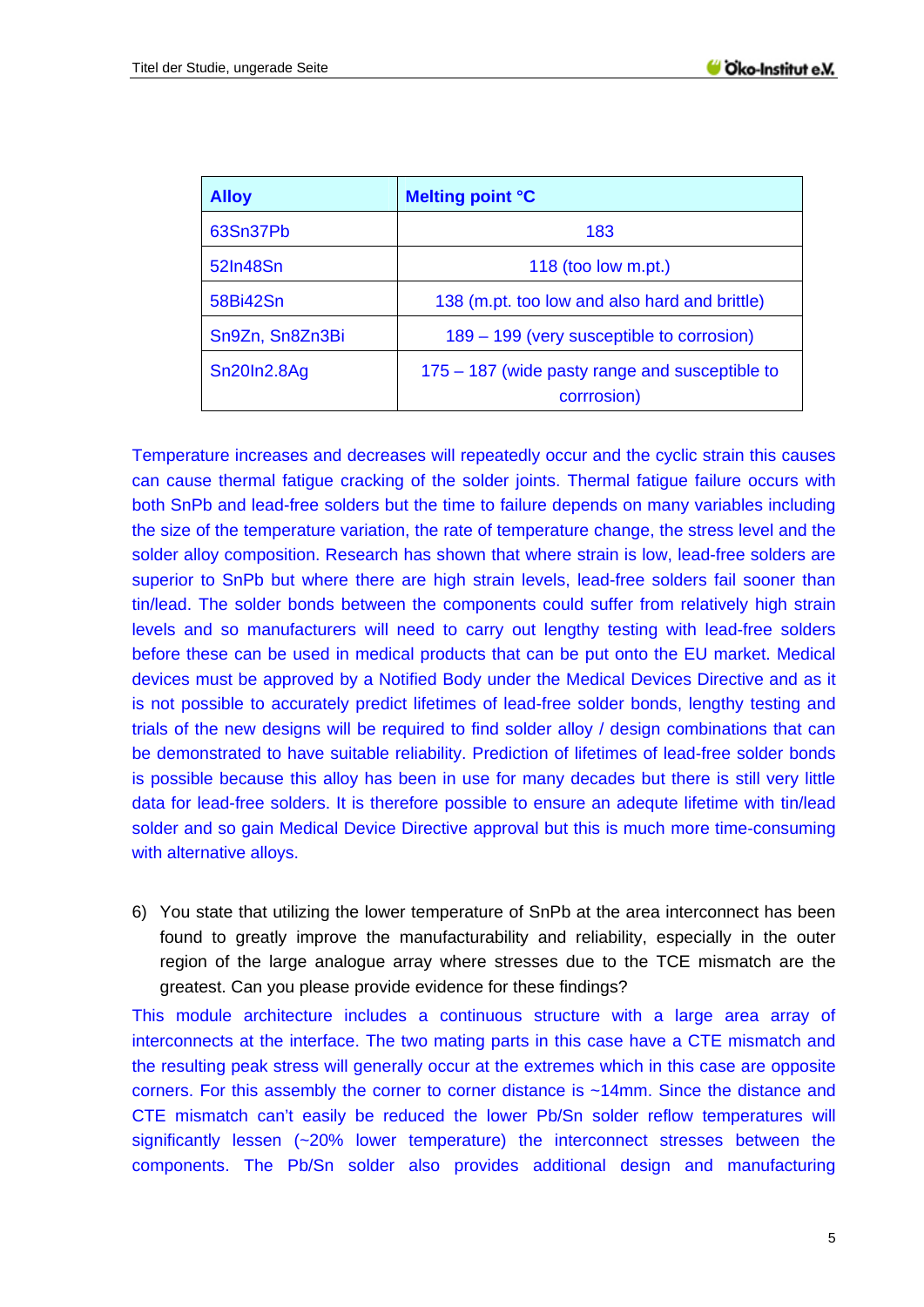| <b>Alloy</b>    | <b>Melting point °C</b>                                       |
|-----------------|---------------------------------------------------------------|
| 63Sn37Pb        | 183                                                           |
| 52In48Sn        | 118 (too low $m$ .pt.)                                        |
| 58Bi42Sn        | 138 (m.pt. too low and also hard and brittle)                 |
| Sn9Zn, Sn8Zn3Bi | 189 – 199 (very susceptible to corrosion)                     |
| Sn20In2.8Ag     | 175 – 187 (wide pasty range and susceptible to<br>corrrosion) |

Temperature increases and decreases will repeatedly occur and the cyclic strain this causes can cause thermal fatigue cracking of the solder joints. Thermal fatigue failure occurs with both SnPb and lead-free solders but the time to failure depends on many variables including the size of the temperature variation, the rate of temperature change, the stress level and the solder alloy composition. Research has shown that where strain is low, lead-free solders are superior to SnPb but where there are high strain levels, lead-free solders fail sooner than tin/lead. The solder bonds between the components could suffer from relatively high strain levels and so manufacturers will need to carry out lengthy testing with lead-free solders before these can be used in medical products that can be put onto the EU market. Medical devices must be approved by a Notified Body under the Medical Devices Directive and as it is not possible to accurately predict lifetimes of lead-free solder bonds, lengthy testing and trials of the new designs will be required to find solder alloy / design combinations that can be demonstrated to have suitable reliability. Prediction of lifetimes of lead-free solder bonds is possible because this alloy has been in use for many decades but there is still very little data for lead-free solders. It is therefore possible to ensure an adequte lifetime with tin/lead solder and so gain Medical Device Directive approval but this is much more time-consuming with alternative alloys.

6) You state that utilizing the lower temperature of SnPb at the area interconnect has been found to greatly improve the manufacturability and reliability, especially in the outer region of the large analogue array where stresses due to the TCE mismatch are the greatest. Can you please provide evidence for these findings?

This module architecture includes a continuous structure with a large area array of interconnects at the interface. The two mating parts in this case have a CTE mismatch and the resulting peak stress will generally occur at the extremes which in this case are opposite corners. For this assembly the corner to corner distance is ~14mm. Since the distance and CTE mismatch can't easily be reduced the lower Pb/Sn solder reflow temperatures will significantly lessen (~20% lower temperature) the interconnect stresses between the components. The Pb/Sn solder also provides additional design and manufacturing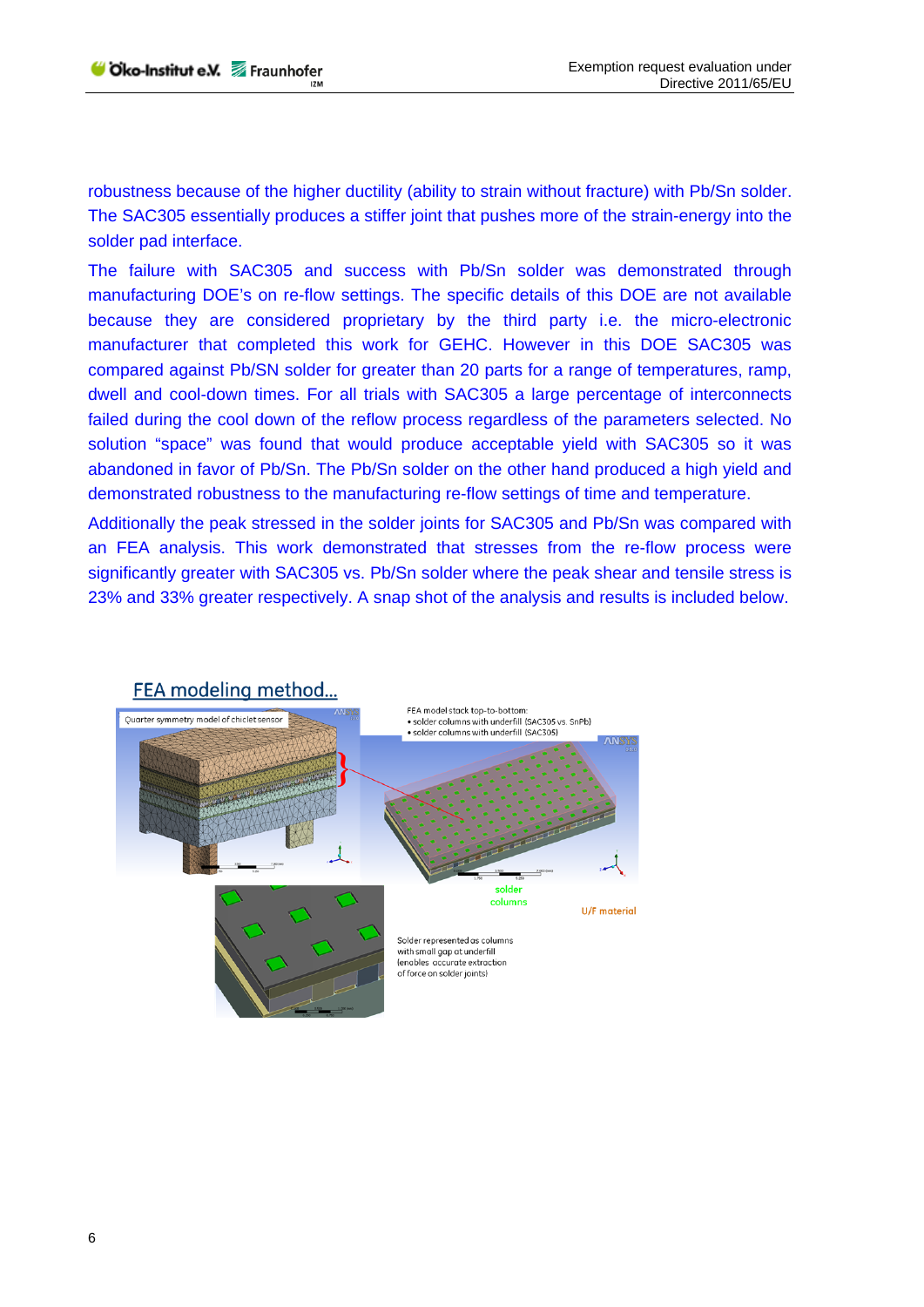robustness because of the higher ductility (ability to strain without fracture) with Pb/Sn solder. The SAC305 essentially produces a stiffer joint that pushes more of the strain-energy into the solder pad interface.

The failure with SAC305 and success with Pb/Sn solder was demonstrated through manufacturing DOE's on re-flow settings. The specific details of this DOE are not available because they are considered proprietary by the third party i.e. the micro-electronic manufacturer that completed this work for GEHC. However in this DOE SAC305 was compared against Pb/SN solder for greater than 20 parts for a range of temperatures, ramp, dwell and cool-down times. For all trials with SAC305 a large percentage of interconnects failed during the cool down of the reflow process regardless of the parameters selected. No solution "space" was found that would produce acceptable yield with SAC305 so it was abandoned in favor of Pb/Sn. The Pb/Sn solder on the other hand produced a high yield and demonstrated robustness to the manufacturing re-flow settings of time and temperature.

Additionally the peak stressed in the solder joints for SAC305 and Pb/Sn was compared with an FEA analysis. This work demonstrated that stresses from the re-flow process were significantly greater with SAC305 vs. Pb/Sn solder where the peak shear and tensile stress is 23% and 33% greater respectively. A snap shot of the analysis and results is included below.

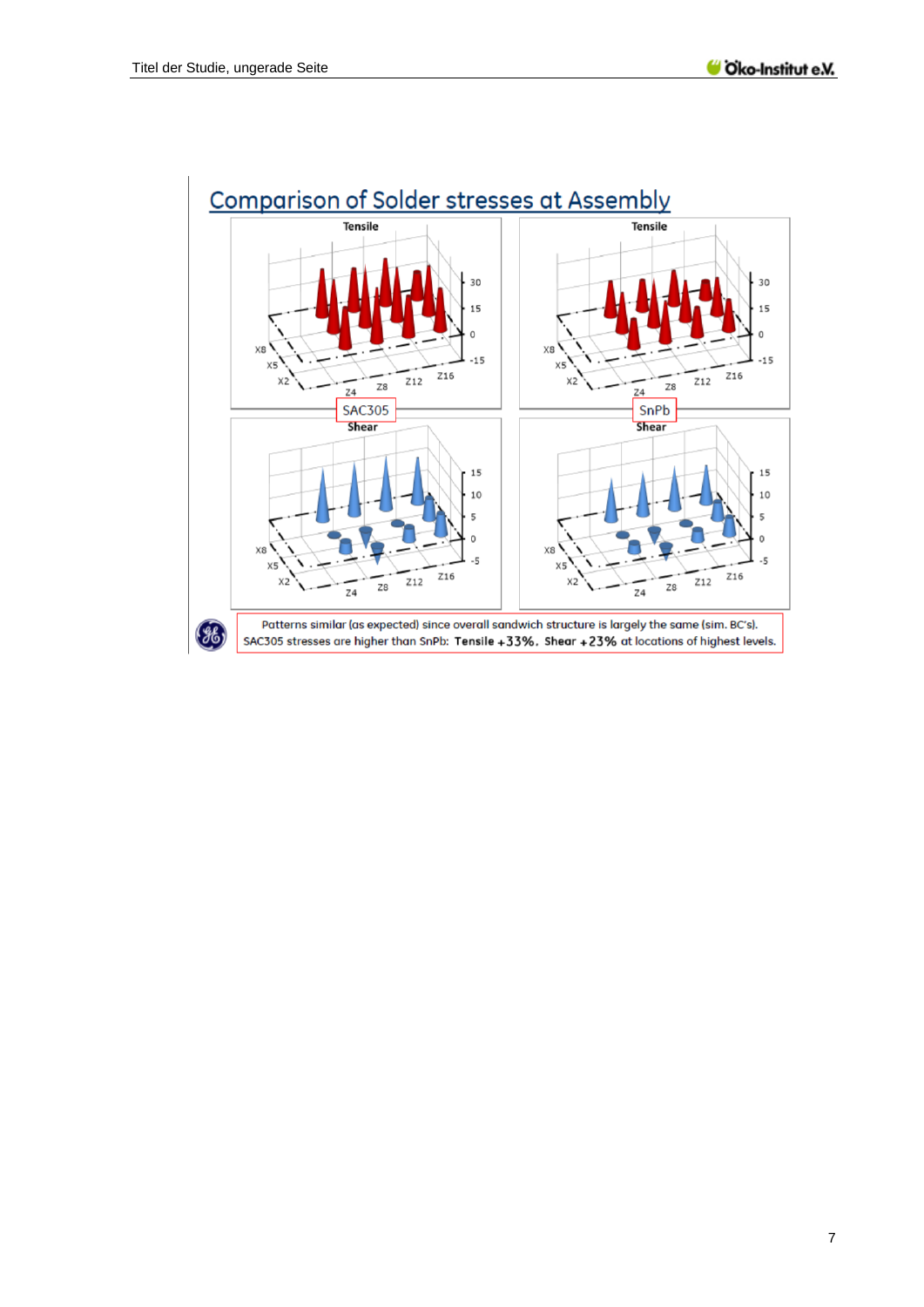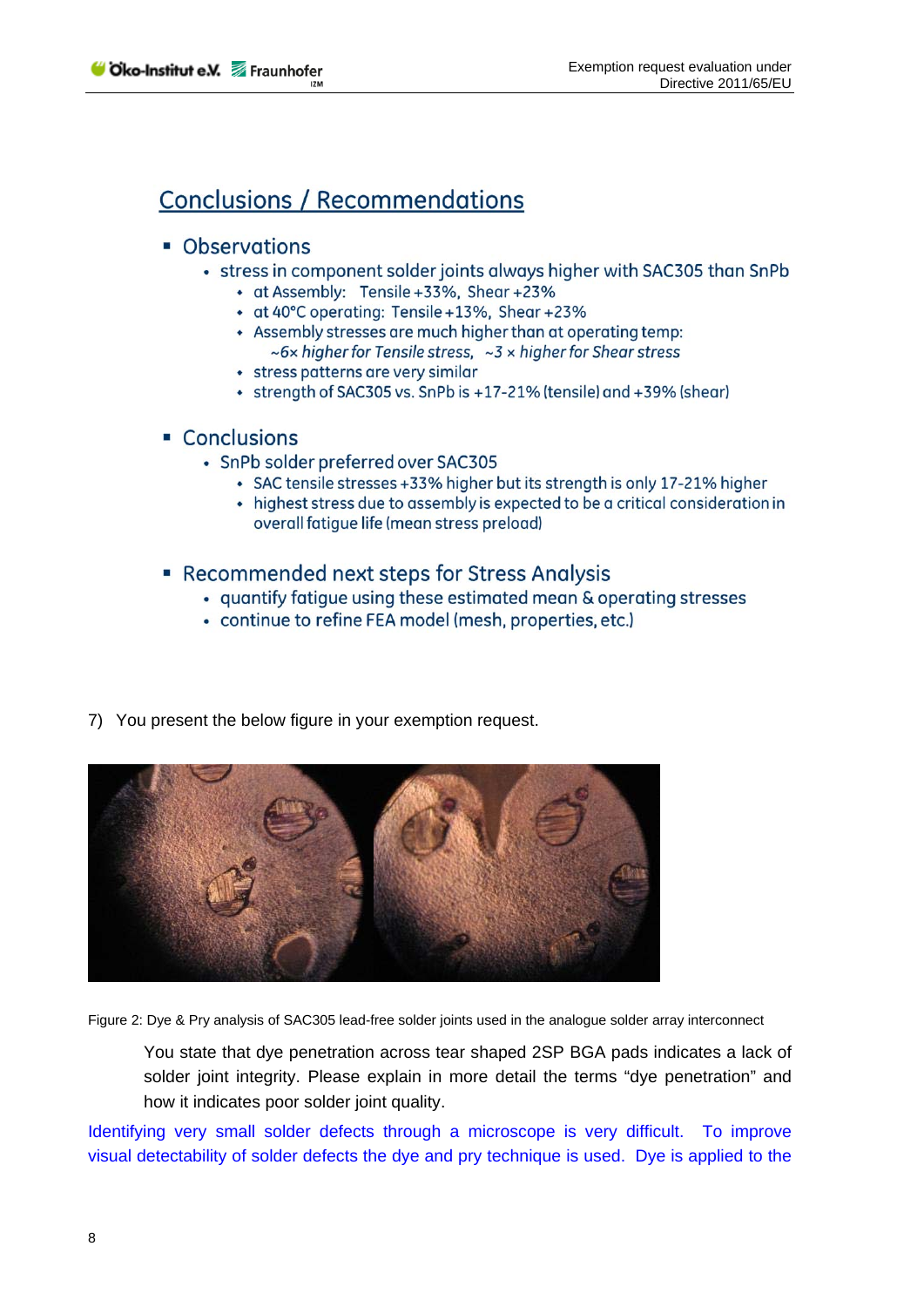# **Conclusions / Recommendations**

### • Observations

- stress in component solder joints always higher with SAC305 than SnPb
	- at Assembly: Tensile +33%, Shear +23%
	- at 40°C operating: Tensile +13%, Shear +23%
	- Assembly stresses are much higher than at operating temp:  $\sim$  6x higher for Tensile stress,  $\sim$  3 x higher for Shear stress
	- stress patterns are very similar
	- strength of SAC305 vs. SnPb is +17-21% (tensile) and +39% (shear)

## • Conclusions

- SnPb solder preferred over SAC305
	- SAC tensile stresses +33% higher but its strength is only 17-21% higher
	- highest stress due to assembly is expected to be a critical consideration in overall fatique life (mean stress preload)

## • Recommended next steps for Stress Analysis

- quantify fatigue using these estimated mean & operating stresses
- continue to refine FEA model (mesh, properties, etc.)
- 7) You present the below figure in your exemption request.



Figure 2: Dye & Pry analysis of SAC305 lead-free solder joints used in the analogue solder array interconnect

You state that dye penetration across tear shaped 2SP BGA pads indicates a lack of solder joint integrity. Please explain in more detail the terms "dye penetration" and how it indicates poor solder joint quality.

Identifying very small solder defects through a microscope is very difficult. To improve visual detectability of solder defects the dye and pry technique is used. Dye is applied to the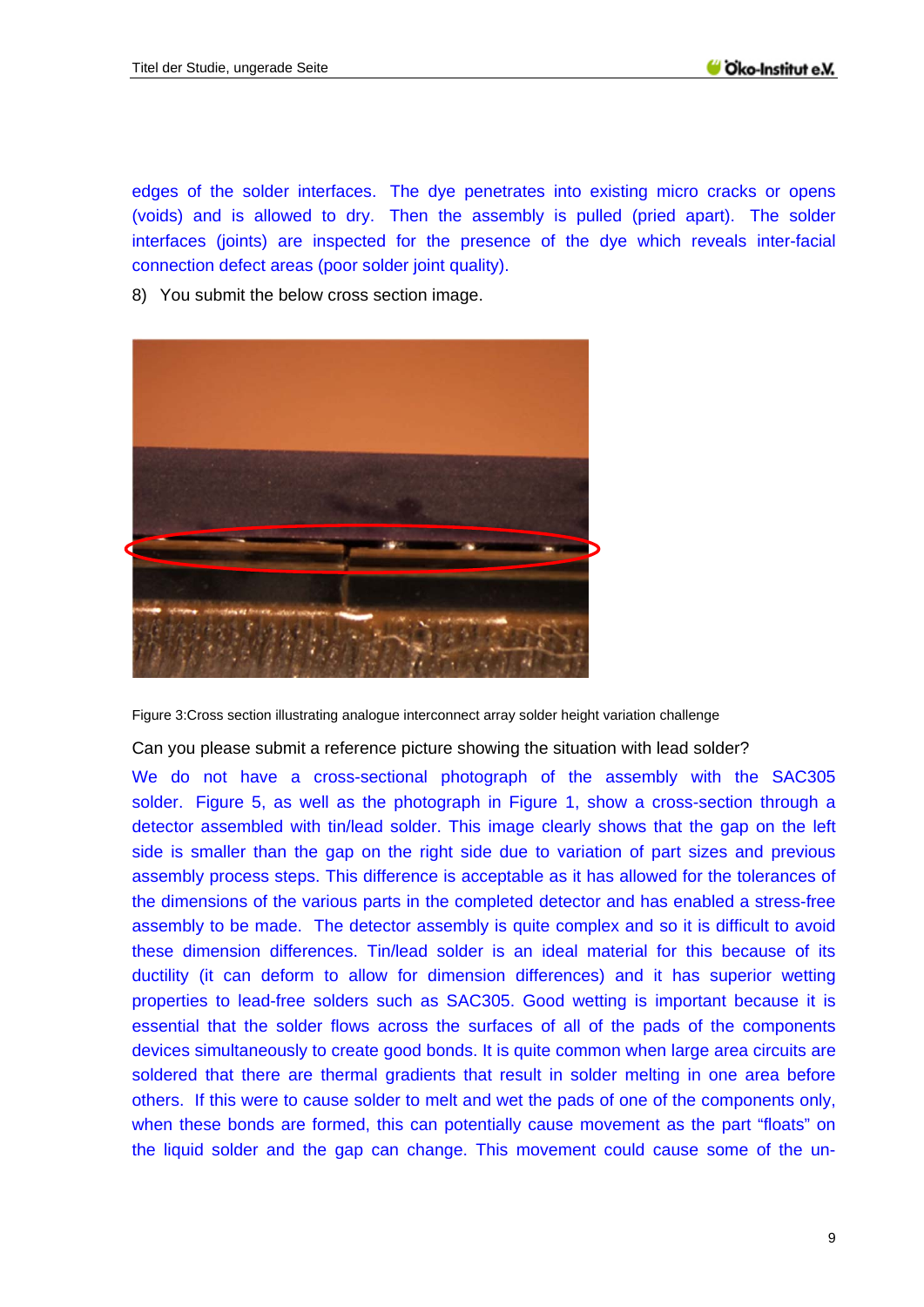edges of the solder interfaces. The dye penetrates into existing micro cracks or opens (voids) and is allowed to dry. Then the assembly is pulled (pried apart). The solder interfaces (joints) are inspected for the presence of the dye which reveals inter-facial connection defect areas (poor solder joint quality).

8) You submit the below cross section image.



Figure 3:Cross section illustrating analogue interconnect array solder height variation challenge

Can you please submit a reference picture showing the situation with lead solder?

We do not have a cross-sectional photograph of the assembly with the SAC305 solder. Figure 5, as well as the photograph in Figure 1, show a cross-section through a detector assembled with tin/lead solder. This image clearly shows that the gap on the left side is smaller than the gap on the right side due to variation of part sizes and previous assembly process steps. This difference is acceptable as it has allowed for the tolerances of the dimensions of the various parts in the completed detector and has enabled a stress-free assembly to be made. The detector assembly is quite complex and so it is difficult to avoid these dimension differences. Tin/lead solder is an ideal material for this because of its ductility (it can deform to allow for dimension differences) and it has superior wetting properties to lead-free solders such as SAC305. Good wetting is important because it is essential that the solder flows across the surfaces of all of the pads of the components devices simultaneously to create good bonds. It is quite common when large area circuits are soldered that there are thermal gradients that result in solder melting in one area before others. If this were to cause solder to melt and wet the pads of one of the components only, when these bonds are formed, this can potentially cause movement as the part "floats" on the liquid solder and the gap can change. This movement could cause some of the un-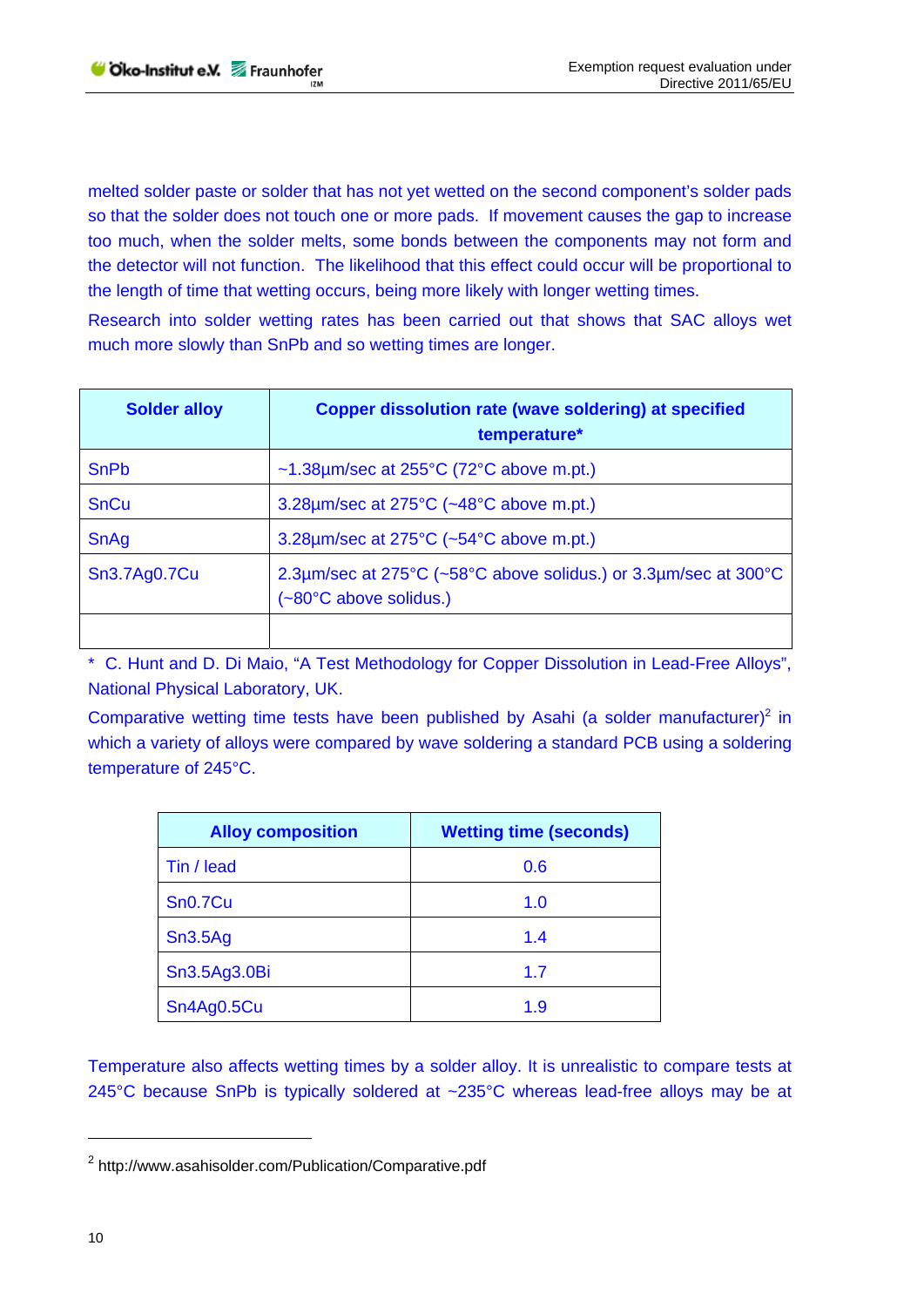melted solder paste or solder that has not yet wetted on the second component's solder pads so that the solder does not touch one or more pads. If movement causes the gap to increase too much, when the solder melts, some bonds between the components may not form and the detector will not function. The likelihood that this effect could occur will be proportional to the length of time that wetting occurs, being more likely with longer wetting times.

Research into solder wetting rates has been carried out that shows that SAC alloys wet much more slowly than SnPb and so wetting times are longer.

| <b>Solder alloy</b> | Copper dissolution rate (wave soldering) at specified<br>temperature*                     |
|---------------------|-------------------------------------------------------------------------------------------|
| <b>SnPb</b>         | $~1.38 \mu m/sec$ at 255°C (72°C above m.pt.)                                             |
| <b>SnCu</b>         | 3.28µm/sec at 275°C (~48°C above m.pt.)                                                   |
| SnAg                | 3.28µm/sec at 275°C (~54°C above m.pt.)                                                   |
| Sn3.7Ag0.7Cu        | 2.3um/sec at 275°C (~58°C above solidus.) or 3.3um/sec at 300°C<br>(~80°C above solidus.) |
|                     |                                                                                           |

\* C. Hunt and D. Di Maio, "A Test Methodology for Copper Dissolution in Lead-Free Alloys", National Physical Laboratory, UK.

Comparative wetting time tests have been published by Asahi (a solder manufacturer)<sup>2</sup> in which a variety of alloys were compared by wave soldering a standard PCB using a soldering temperature of 245°C.

| <b>Alloy composition</b> | <b>Wetting time (seconds)</b> |
|--------------------------|-------------------------------|
| Tin / lead               | 0.6                           |
| Sn <sub>0.7Cu</sub>      | 1.0                           |
| Sn3.5Ag                  | 1.4                           |
| Sn3.5Ag3.0Bi             | 1.7                           |
| Sn4Ag0.5Cu               | 1.9                           |

Temperature also affects wetting times by a solder alloy. It is unrealistic to compare tests at 245°C because SnPb is typically soldered at ~235°C whereas lead-free alloys may be at

<sup>&</sup>lt;sup>2</sup> http://www.asahisolder.com/Publication/Comparative.pdf